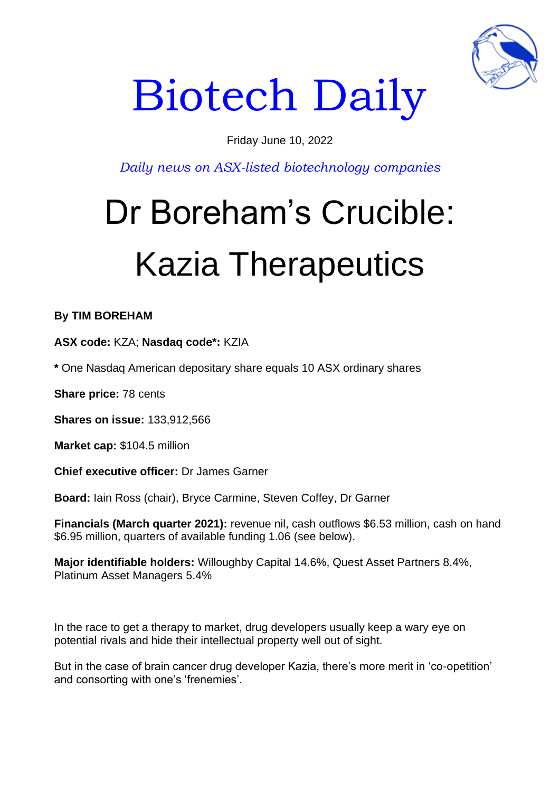

# Biotech Daily

# Friday June 10, 2022

*Daily news on ASX-listed biotechnology companies*

# Dr Boreham's Crucible: Kazia Therapeutics

**By TIM BOREHAM** 

**ASX code:** KZA; **Nasdaq code\*:** KZIA

**\*** One Nasdaq American depositary share equals 10 ASX ordinary shares

**Share price:** 78 cents

**Shares on issue:** 133,912,566

**Market cap:** \$104.5 million

**Chief executive officer:** Dr James Garner

**Board:** Iain Ross (chair), Bryce Carmine, Steven Coffey, Dr Garner

**Financials (March quarter 2021):** revenue nil, cash outflows \$6.53 million, cash on hand \$6.95 million, quarters of available funding 1.06 (see below).

**Major identifiable holders:** Willoughby Capital 14.6%, Quest Asset Partners 8.4%, Platinum Asset Managers 5.4%

In the race to get a therapy to market, drug developers usually keep a wary eye on potential rivals and hide their intellectual property well out of sight.

But in the case of brain cancer drug developer Kazia, there's more merit in 'co-opetition' and consorting with one's 'frenemies'.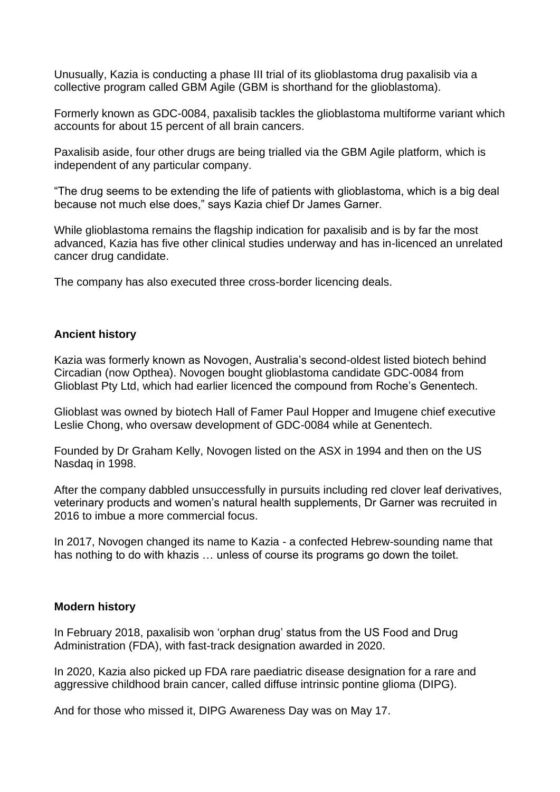Unusually, Kazia is conducting a phase III trial of its glioblastoma drug paxalisib via a collective program called GBM Agile (GBM is shorthand for the glioblastoma).

Formerly known as GDC-0084, paxalisib tackles the glioblastoma multiforme variant which accounts for about 15 percent of all brain cancers.

Paxalisib aside, four other drugs are being trialled via the GBM Agile platform, which is independent of any particular company.

"The drug seems to be extending the life of patients with glioblastoma, which is a big deal because not much else does," says Kazia chief Dr James Garner.

While glioblastoma remains the flagship indication for paxalisib and is by far the most advanced, Kazia has five other clinical studies underway and has in-licenced an unrelated cancer drug candidate.

The company has also executed three cross-border licencing deals.

# **Ancient history**

Kazia was formerly known as Novogen, Australia's second-oldest listed biotech behind Circadian (now Opthea). Novogen bought glioblastoma candidate GDC-0084 from Glioblast Pty Ltd, which had earlier licenced the compound from Roche's Genentech.

Glioblast was owned by biotech Hall of Famer Paul Hopper and Imugene chief executive Leslie Chong, who oversaw development of GDC-0084 while at Genentech.

Founded by Dr Graham Kelly, Novogen listed on the ASX in 1994 and then on the US Nasdaq in 1998.

After the company dabbled unsuccessfully in pursuits including red clover leaf derivatives, veterinary products and women's natural health supplements, Dr Garner was recruited in 2016 to imbue a more commercial focus.

In 2017, Novogen changed its name to Kazia - a confected Hebrew-sounding name that has nothing to do with khazis … unless of course its programs go down the toilet.

#### **Modern history**

In February 2018, paxalisib won 'orphan drug' status from the US Food and Drug Administration (FDA), with fast-track designation awarded in 2020.

In 2020, Kazia also picked up FDA rare paediatric disease designation for a rare and aggressive childhood brain cancer, called diffuse intrinsic pontine glioma (DIPG).

And for those who missed it, DIPG Awareness Day was on May 17.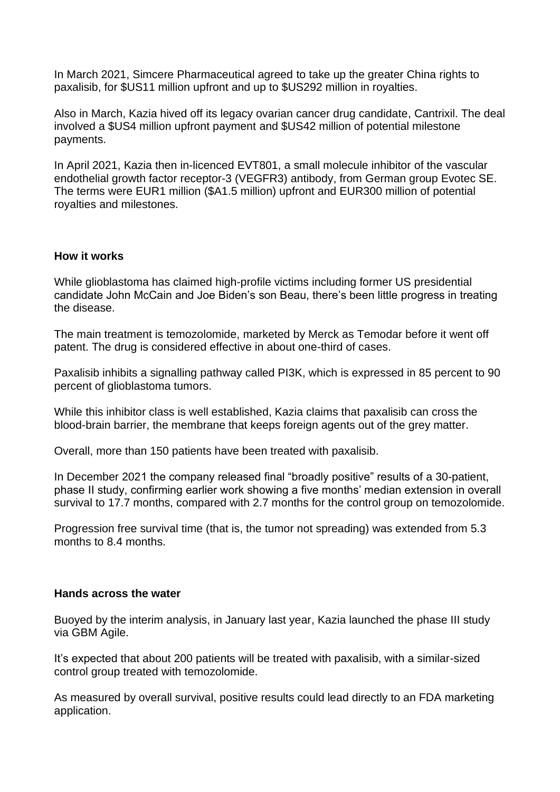In March 2021, Simcere Pharmaceutical agreed to take up the greater China rights to paxalisib, for \$US11 million upfront and up to \$US292 million in royalties.

Also in March, Kazia hived off its legacy ovarian cancer drug candidate, Cantrixil. The deal involved a \$US4 million upfront payment and \$US42 million of potential milestone payments.

In April 2021, Kazia then in-licenced EVT801, a small molecule inhibitor of the vascular endothelial growth factor receptor-3 (VEGFR3) antibody, from German group Evotec SE. The terms were EUR1 million (\$A1.5 million) upfront and EUR300 million of potential royalties and milestones.

#### **How it works**

While glioblastoma has claimed high-profile victims including former US presidential candidate John McCain and Joe Biden's son Beau, there's been little progress in treating the disease.

The main treatment is temozolomide, marketed by Merck as Temodar before it went off patent. The drug is considered effective in about one-third of cases.

Paxalisib inhibits a signalling pathway called PI3K, which is expressed in 85 percent to 90 percent of glioblastoma tumors.

While this inhibitor class is well established, Kazia claims that paxalisib can cross the blood-brain barrier, the membrane that keeps foreign agents out of the grey matter.

Overall, more than 150 patients have been treated with paxalisib.

In December 2021 the company released final "broadly positive" results of a 30-patient, phase II study, confirming earlier work showing a five months' median extension in overall survival to 17.7 months, compared with 2.7 months for the control group on temozolomide.

Progression free survival time (that is, the tumor not spreading) was extended from 5.3 months to 8.4 months.

#### **Hands across the water**

Buoyed by the interim analysis, in January last year, Kazia launched the phase III study via GBM Agile.

It's expected that about 200 patients will be treated with paxalisib, with a similar-sized control group treated with temozolomide.

As measured by overall survival, positive results could lead directly to an FDA marketing application.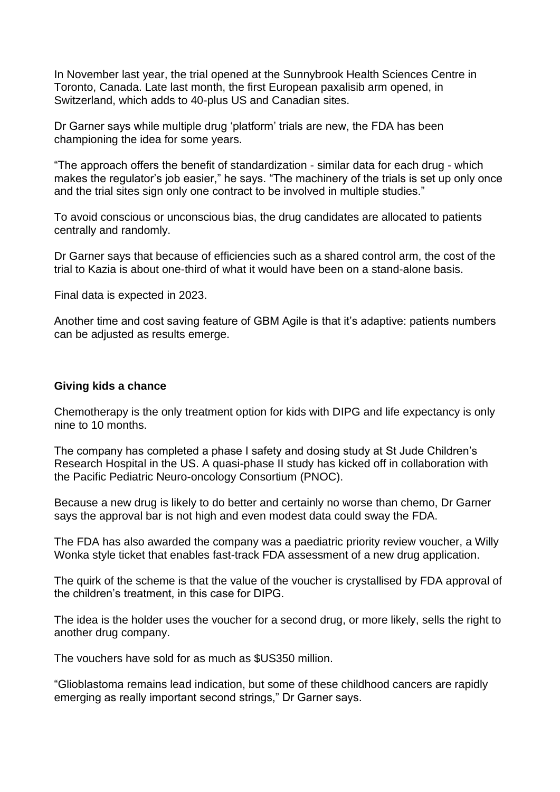In November last year, the trial opened at the Sunnybrook Health Sciences Centre in Toronto, Canada. Late last month, the first European paxalisib arm opened, in Switzerland, which adds to 40-plus US and Canadian sites.

Dr Garner says while multiple drug 'platform' trials are new, the FDA has been championing the idea for some years.

"The approach offers the benefit of standardization - similar data for each drug - which makes the regulator's job easier," he says. "The machinery of the trials is set up only once and the trial sites sign only one contract to be involved in multiple studies."

To avoid conscious or unconscious bias, the drug candidates are allocated to patients centrally and randomly.

Dr Garner says that because of efficiencies such as a shared control arm, the cost of the trial to Kazia is about one-third of what it would have been on a stand-alone basis.

Final data is expected in 2023.

Another time and cost saving feature of GBM Agile is that it's adaptive: patients numbers can be adjusted as results emerge.

#### **Giving kids a chance**

Chemotherapy is the only treatment option for kids with DIPG and life expectancy is only nine to 10 months.

The company has completed a phase I safety and dosing study at St Jude Children's Research Hospital in the US. A quasi-phase II study has kicked off in collaboration with the Pacific Pediatric Neuro-oncology Consortium (PNOC).

Because a new drug is likely to do better and certainly no worse than chemo, Dr Garner says the approval bar is not high and even modest data could sway the FDA.

The FDA has also awarded the company was a paediatric priority review voucher, a Willy Wonka style ticket that enables fast-track FDA assessment of a new drug application.

The quirk of the scheme is that the value of the voucher is crystallised by FDA approval of the children's treatment, in this case for DIPG.

The idea is the holder uses the voucher for a second drug, or more likely, sells the right to another drug company.

The vouchers have sold for as much as \$US350 million.

"Glioblastoma remains lead indication, but some of these childhood cancers are rapidly emerging as really important second strings," Dr Garner says.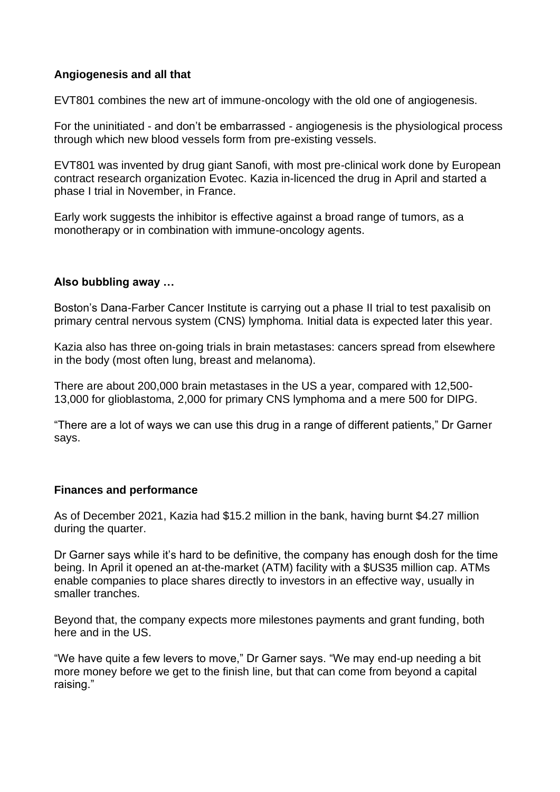# **Angiogenesis and all that**

EVT801 combines the new art of immune-oncology with the old one of angiogenesis.

For the uninitiated - and don't be embarrassed - angiogenesis is the physiological process through which new blood vessels form from pre-existing vessels.

EVT801 was invented by drug giant Sanofi, with most pre-clinical work done by European contract research organization Evotec. Kazia in-licenced the drug in April and started a phase I trial in November, in France.

Early work suggests the inhibitor is effective against a broad range of tumors, as a monotherapy or in combination with immune-oncology agents.

# **Also bubbling away …**

Boston's Dana-Farber Cancer Institute is carrying out a phase II trial to test paxalisib on primary central nervous system (CNS) lymphoma. Initial data is expected later this year.

Kazia also has three on-going trials in brain metastases: cancers spread from elsewhere in the body (most often lung, breast and melanoma).

There are about 200,000 brain metastases in the US a year, compared with 12,500- 13,000 for glioblastoma, 2,000 for primary CNS lymphoma and a mere 500 for DIPG.

"There are a lot of ways we can use this drug in a range of different patients," Dr Garner says.

# **Finances and performance**

As of December 2021, Kazia had \$15.2 million in the bank, having burnt \$4.27 million during the quarter.

Dr Garner says while it's hard to be definitive, the company has enough dosh for the time being. In April it opened an at-the-market (ATM) facility with a \$US35 million cap. ATMs enable companies to place shares directly to investors in an effective way, usually in smaller tranches.

Beyond that, the company expects more milestones payments and grant funding, both here and in the US.

"We have quite a few levers to move," Dr Garner says. "We may end-up needing a bit more money before we get to the finish line, but that can come from beyond a capital raising."